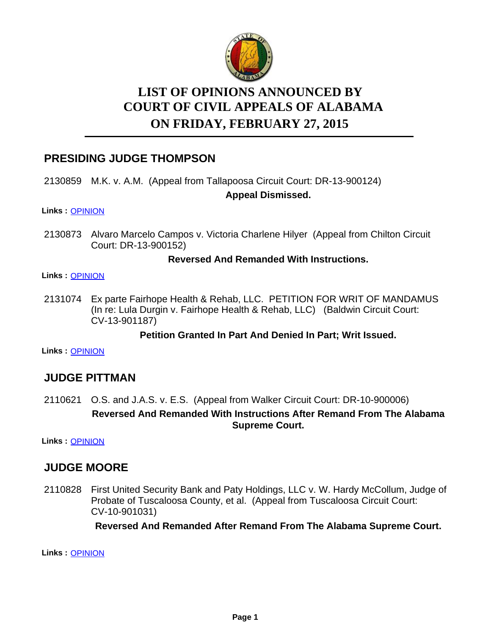

# **LIST OF OPINIONS ANNOUNCED BY ON FRIDAY, FEBRUARY 27, 2015 COURT OF CIVIL APPEALS OF ALABAMA**

# **PRESIDING JUDGE THOMPSON**

# 2130859 M.K. v. A.M. (Appeal from Tallapoosa Circuit Court: DR-13-900124)

### **Appeal Dismissed.**

#### **Links :** [OPINION](https://acis.alabama.gov/displaydocs.cfm?no=641659&event=4AJ0LA4OG)

2130873 Alvaro Marcelo Campos v. Victoria Charlene Hilyer (Appeal from Chilton Circuit Court: DR-13-900152)

### **Reversed And Remanded With Instructions.**

#### **Links :** [OPINION](https://acis.alabama.gov/displaydocs.cfm?no=641660&event=4AJ0LA4TO)

2131074 Ex parte Fairhope Health & Rehab, LLC. PETITION FOR WRIT OF MANDAMUS (In re: Lula Durgin v. Fairhope Health & Rehab, LLC) (Baldwin Circuit Court: CV-13-901187)

### **Petition Granted In Part And Denied In Part; Writ Issued.**

**Links :** [OPINION](https://acis.alabama.gov/displaydocs.cfm?no=641663&event=4AJ0LA65C)

# **JUDGE PITTMAN**

2110621 O.S. and J.A.S. v. E.S. (Appeal from Walker Circuit Court: DR-10-900006) **Reversed And Remanded With Instructions After Remand From The Alabama Supreme Court.**

**Links :** [OPINION](https://acis.alabama.gov/displaydocs.cfm?no=641649&event=4AJ0LA2U5)

# **JUDGE MOORE**

2110828 First United Security Bank and Paty Holdings, LLC v. W. Hardy McCollum, Judge of Probate of Tuscaloosa County, et al. (Appeal from Tuscaloosa Circuit Court: CV-10-901031)

**Reversed And Remanded After Remand From The Alabama Supreme Court.**

**Links :** [OPINION](https://acis.alabama.gov/displaydocs.cfm?no=641651&event=4AJ0LA3B1)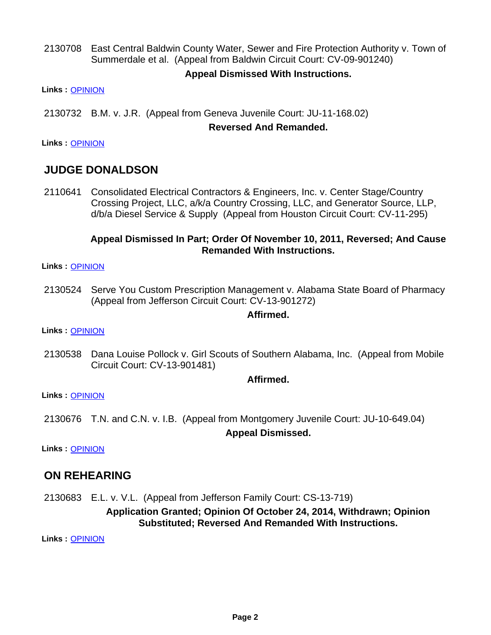2130708 East Central Baldwin County Water, Sewer and Fire Protection Authority v. Town of Summerdale et al. (Appeal from Baldwin Circuit Court: CV-09-901240)

### **Appeal Dismissed With Instructions.**

**Links :** [OPINION](https://acis.alabama.gov/displaydocs.cfm?no=641657&event=4AJ0LA45U)

2130732 B.M. v. J.R. (Appeal from Geneva Juvenile Court: JU-11-168.02)

#### **Reversed And Remanded.**

**Links :** [OPINION](https://acis.alabama.gov/displaydocs.cfm?no=641658&event=4AJ0LA4H3)

# **JUDGE DONALDSON**

2110641 Consolidated Electrical Contractors & Engineers, Inc. v. Center Stage/Country Crossing Project, LLC, a/k/a Country Crossing, LLC, and Generator Source, LLP, d/b/a Diesel Service & Supply (Appeal from Houston Circuit Court: CV-11-295)

### **Appeal Dismissed In Part; Order Of November 10, 2011, Reversed; And Cause Remanded With Instructions.**

**Links :** [OPINION](https://acis.alabama.gov/displaydocs.cfm?no=641650&event=4AJ0LA35U)

2130524 Serve You Custom Prescription Management v. Alabama State Board of Pharmacy (Appeal from Jefferson Circuit Court: CV-13-901272)

#### **Affirmed.**

**Links :** [OPINION](https://acis.alabama.gov/displaydocs.cfm?no=641652&event=4AJ0LA3FU)

2130538 Dana Louise Pollock v. Girl Scouts of Southern Alabama, Inc. (Appeal from Mobile Circuit Court: CV-13-901481)

#### **Affirmed.**

**Links :** [OPINION](https://acis.alabama.gov/displaydocs.cfm?no=641653&event=4AJ0LA3MB)

2130676 T.N. and C.N. v. I.B. (Appeal from Montgomery Juvenile Court: JU-10-649.04) **Appeal Dismissed.**

**Links :** [OPINION](https://acis.alabama.gov/displaydocs.cfm?no=641654&event=4AJ0LA3RJ)

# **ON REHEARING**

2130683 E.L. v. V.L. (Appeal from Jefferson Family Court: CS-13-719)

**Application Granted; Opinion Of October 24, 2014, Withdrawn; Opinion Substituted; Reversed And Remanded With Instructions.**

**Links :** [OPINION](https://acis.alabama.gov/displaydocs.cfm?no=641656&event=4AJ0LA3XK)